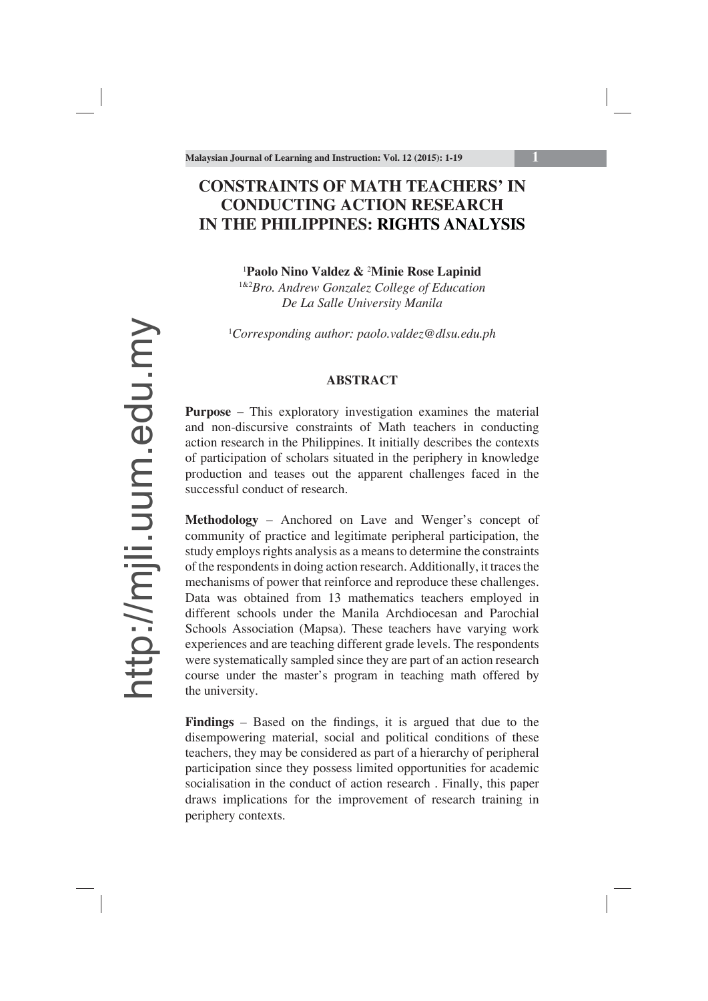# **CONSTRAINTS OF MATH TEACHERS' IN CONDUCTING ACTION RESEARCH IN THE PHILIPPINES: RIGHTS ANALYSIS**

#### 1 **Paolo Nino Valdez &** <sup>2</sup> **Minie Rose Lapinid**

1&2*Bro. Andrew Gonzalez College of Education De La Salle University Manila*

1 *Corresponding author: paolo.valdez@dlsu.edu.ph*

#### **ABSTRACT**

**Purpose** – This exploratory investigation examines the material and non-discursive constraints of Math teachers in conducting action research in the Philippines. It initially describes the contexts of participation of scholars situated in the periphery in knowledge production and teases out the apparent challenges faced in the successful conduct of research.

**Methodology** – Anchored on Lave and Wenger's concept of community of practice and legitimate peripheral participation, the study employs rights analysis as a means to determine the constraints of the respondents in doing action research. Additionally, it traces the mechanisms of power that reinforce and reproduce these challenges. Data was obtained from 13 mathematics teachers employed in different schools under the Manila Archdiocesan and Parochial Schools Association (Mapsa). These teachers have varying work experiences and are teaching different grade levels. The respondents were systematically sampled since they are part of an action research course under the master's program in teaching math offered by the university.

Findings – Based on the findings, it is argued that due to the disempowering material, social and political conditions of these teachers, they may be considered as part of a hierarchy of peripheral participation since they possess limited opportunities for academic socialisation in the conduct of action research . Finally, this paper draws implications for the improvement of research training in periphery contexts.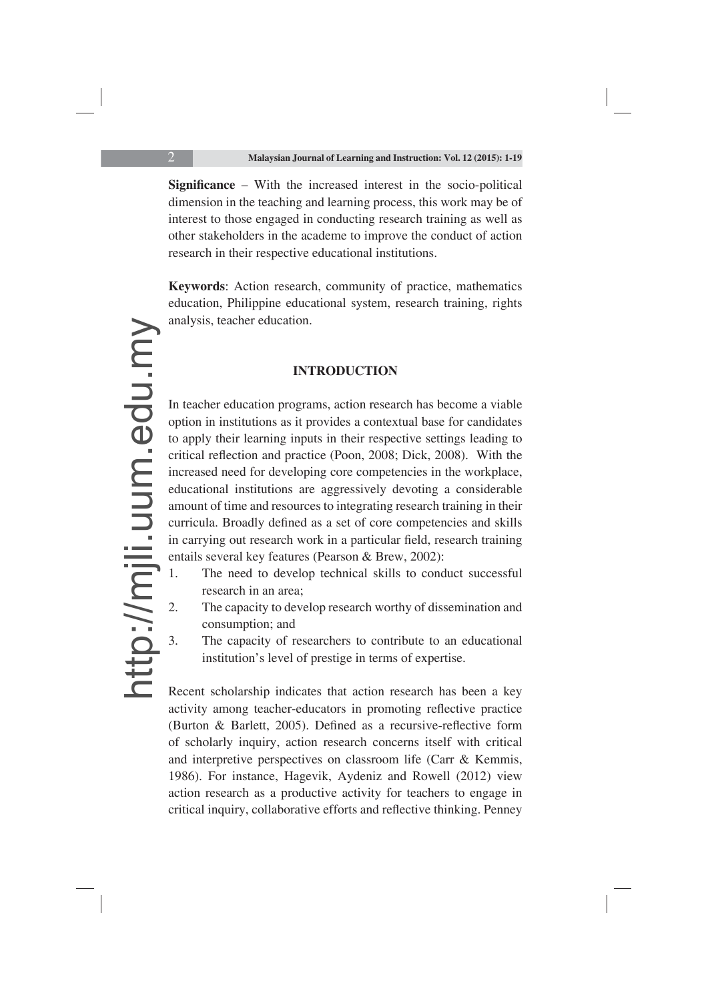**Significance** – With the increased interest in the socio-political dimension in the teaching and learning process, this work may be of interest to those engaged in conducting research training as well as other stakeholders in the academe to improve the conduct of action research in their respective educational institutions.

**Keywords**: Action research, community of practice, mathematics education, Philippine educational system, research training, rights analysis, teacher education.

### **INTRODUCTION**

In teacher education programs, action research has become a viable option in institutions as it provides a contextual base for candidates to apply their learning inputs in their respective settings leading to critical reflection and practice (Poon, 2008; Dick, 2008). With the increased need for developing core competencies in the workplace, educational institutions are aggressively devoting a considerable amount of time and resources to integrating research training in their curricula. Broadly defined as a set of core competencies and skills in carrying out research work in a particular field, research training entails several key features (Pearson & Brew, 2002):

- 1. The need to develop technical skills to conduct successful research in an area;
- 2. The capacity to develop research worthy of dissemination and consumption; and
- 3. The capacity of researchers to contribute to an educational institution's level of prestige in terms of expertise.

Recent scholarship indicates that action research has been a key activity among teacher-educators in promoting reflective practice (Burton & Barlett, 2005). Defined as a recursive-reflective form of scholarly inquiry, action research concerns itself with critical and interpretive perspectives on classroom life (Carr & Kemmis, 1986). For instance, Hagevik, Aydeniz and Rowell (2012) view action research as a productive activity for teachers to engage in critical inquiry, collaborative efforts and reflective thinking. Penney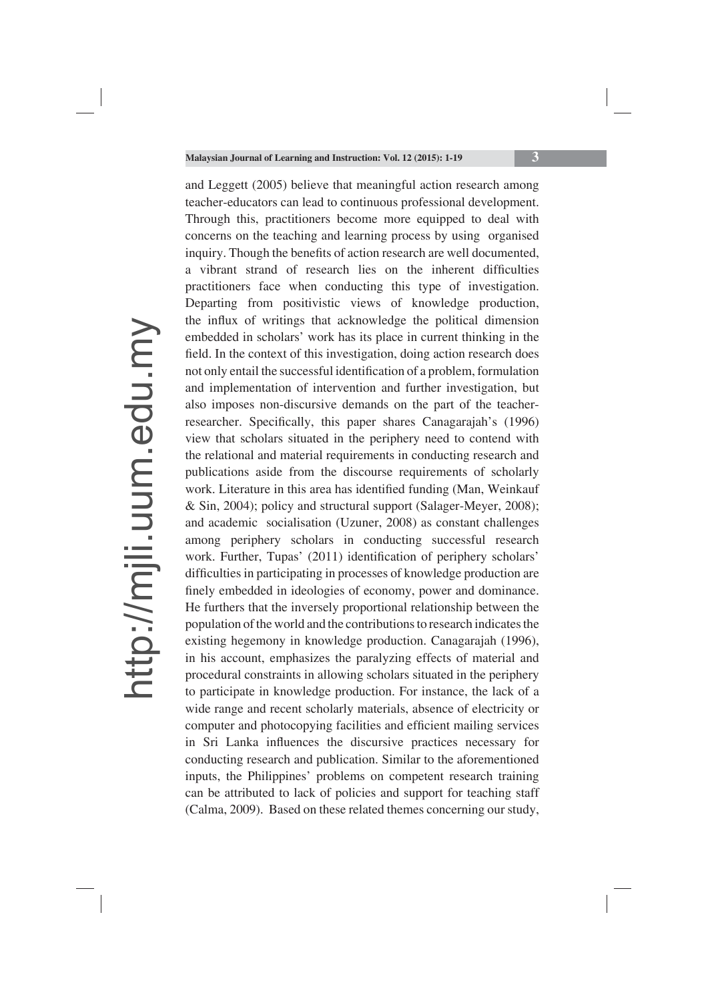and Leggett (2005) believe that meaningful action research among teacher-educators can lead to continuous professional development. Through this, practitioners become more equipped to deal with concerns on the teaching and learning process by using organised inquiry. Though the benefits of action research are well documented, a vibrant strand of research lies on the inherent difficulties practitioners face when conducting this type of investigation. Departing from positivistic views of knowledge production, the influx of writings that acknowledge the political dimension embedded in scholars' work has its place in current thinking in the field. In the context of this investigation, doing action research does not only entail the successful identification of a problem, formulation and implementation of intervention and further investigation, but also imposes non-discursive demands on the part of the teacherresearcher. Specifically, this paper shares Canagarajah's (1996) view that scholars situated in the periphery need to contend with the relational and material requirements in conducting research and publications aside from the discourse requirements of scholarly work. Literature in this area has identified funding (Man, Weinkauf & Sin, 2004); policy and structural support (Salager-Meyer, 2008); and academic socialisation (Uzuner, 2008) as constant challenges among periphery scholars in conducting successful research work. Further, Tupas' (2011) identification of periphery scholars' difficulties in participating in processes of knowledge production are finely embedded in ideologies of economy, power and dominance. He furthers that the inversely proportional relationship between the population of the world and the contributions to research indicates the existing hegemony in knowledge production. Canagarajah (1996), in his account, emphasizes the paralyzing effects of material and procedural constraints in allowing scholars situated in the periphery to participate in knowledge production. For instance, the lack of a wide range and recent scholarly materials, absence of electricity or computer and photocopying facilities and efficient mailing services in Sri Lanka influences the discursive practices necessary for conducting research and publication. Similar to the aforementioned inputs, the Philippines' problems on competent research training can be attributed to lack of policies and support for teaching staff (Calma, 2009). Based on these related themes concerning our study,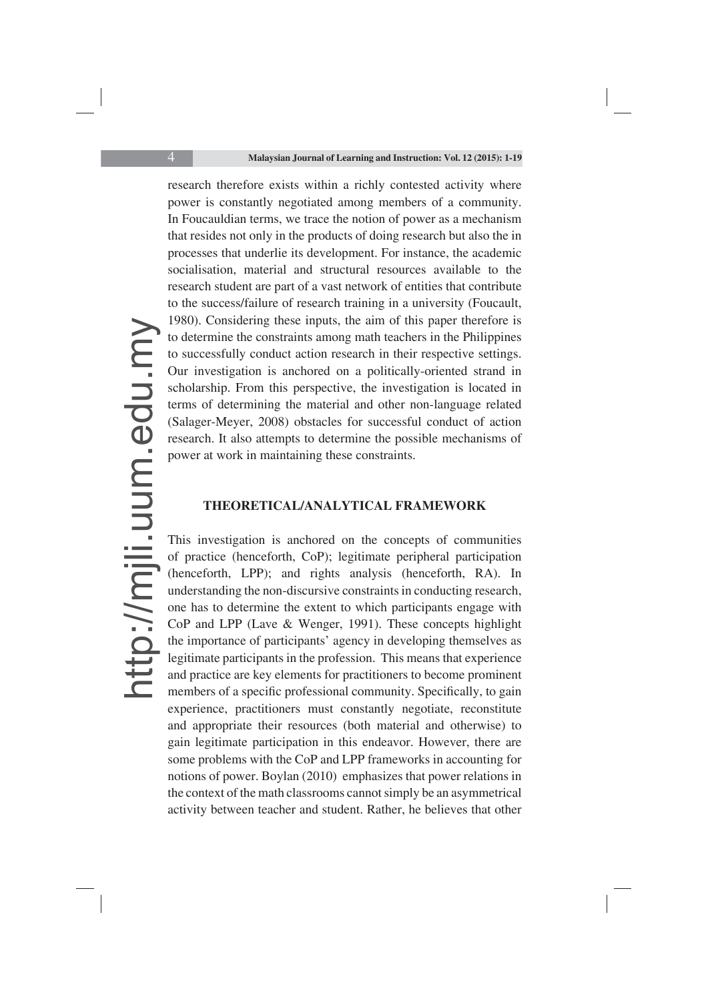research therefore exists within a richly contested activity where power is constantly negotiated among members of a community. In Foucauldian terms, we trace the notion of power as a mechanism that resides not only in the products of doing research but also the in processes that underlie its development. For instance, the academic socialisation, material and structural resources available to the research student are part of a vast network of entities that contribute to the success/failure of research training in a university (Foucault, 1980). Considering these inputs, the aim of this paper therefore is to determine the constraints among math teachers in the Philippines to successfully conduct action research in their respective settings. Our investigation is anchored on a politically-oriented strand in scholarship. From this perspective, the investigation is located in terms of determining the material and other non-language related (Salager-Meyer, 2008) obstacles for successful conduct of action research. It also attempts to determine the possible mechanisms of power at work in maintaining these constraints.

#### **THEORETICAL/ANALYTICAL FRAMEWORK**

This investigation is anchored on the concepts of communities of practice (henceforth, CoP); legitimate peripheral participation (henceforth, LPP); and rights analysis (henceforth, RA). In understanding the non-discursive constraints in conducting research, one has to determine the extent to which participants engage with CoP and LPP (Lave & Wenger, 1991). These concepts highlight the importance of participants' agency in developing themselves as legitimate participants in the profession. This means that experience and practice are key elements for practitioners to become prominent members of a specific professional community. Specifically, to gain experience, practitioners must constantly negotiate, reconstitute and appropriate their resources (both material and otherwise) to gain legitimate participation in this endeavor. However, there are some problems with the CoP and LPP frameworks in accounting for notions of power. Boylan (2010) emphasizes that power relations in the context of the math classrooms cannot simply be an asymmetrical activity between teacher and student. Rather, he believes that other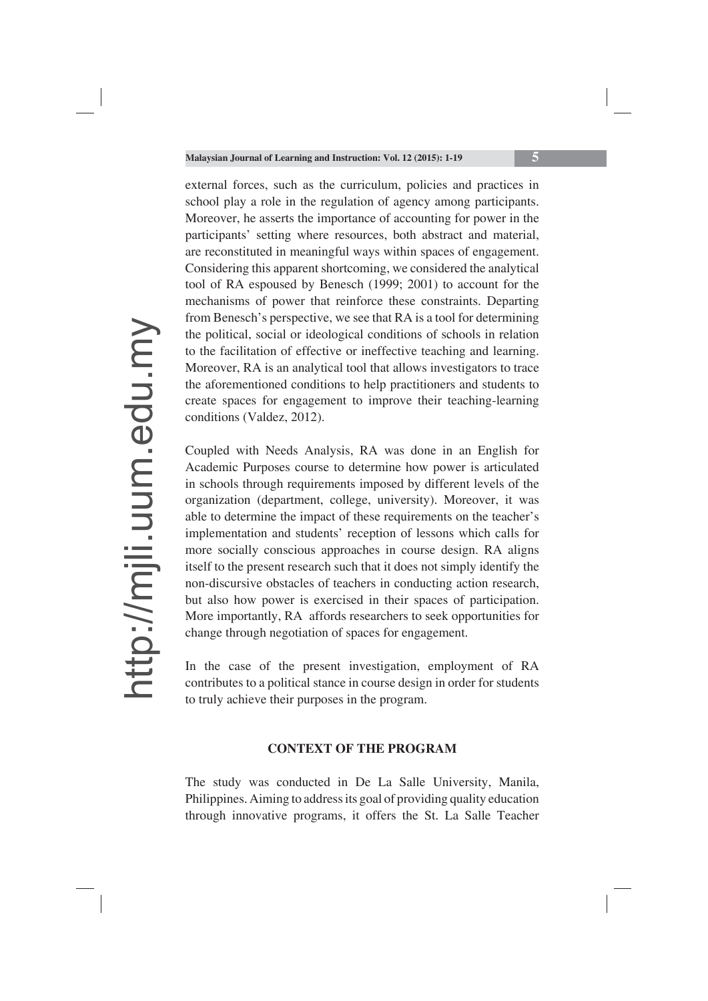external forces, such as the curriculum, policies and practices in school play a role in the regulation of agency among participants. Moreover, he asserts the importance of accounting for power in the participants' setting where resources, both abstract and material, are reconstituted in meaningful ways within spaces of engagement. Considering this apparent shortcoming, we considered the analytical tool of RA espoused by Benesch (1999; 2001) to account for the mechanisms of power that reinforce these constraints. Departing from Benesch's perspective, we see that RA is a tool for determining the political, social or ideological conditions of schools in relation to the facilitation of effective or ineffective teaching and learning. Moreover, RA is an analytical tool that allows investigators to trace the aforementioned conditions to help practitioners and students to create spaces for engagement to improve their teaching-learning conditions (Valdez, 2012).

Coupled with Needs Analysis, RA was done in an English for Academic Purposes course to determine how power is articulated in schools through requirements imposed by different levels of the organization (department, college, university). Moreover, it was able to determine the impact of these requirements on the teacher's implementation and students' reception of lessons which calls for more socially conscious approaches in course design. RA aligns itself to the present research such that it does not simply identify the non-discursive obstacles of teachers in conducting action research, but also how power is exercised in their spaces of participation. More importantly, RA affords researchers to seek opportunities for change through negotiation of spaces for engagement.

In the case of the present investigation, employment of RA contributes to a political stance in course design in order for students to truly achieve their purposes in the program.

#### **CONTEXT OF THE PROGRAM**

The study was conducted in De La Salle University, Manila, Philippines. Aiming to address its goal of providing quality education through innovative programs, it offers the St. La Salle Teacher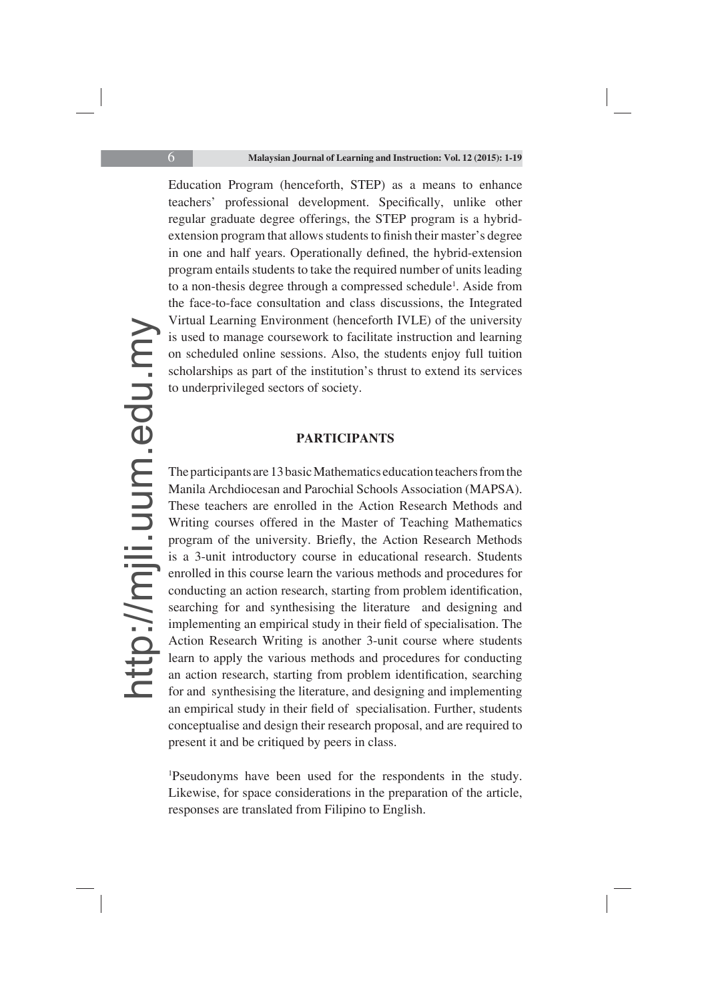Education Program (henceforth, STEP) as a means to enhance teachers' professional development. Specifically, unlike other regular graduate degree offerings, the STEP program is a hybridextension program that allows students to finish their master's degree in one and half years. Operationally defined, the hybrid-extension program entails students to take the required number of units leading to a non-thesis degree through a compressed schedule<sup>1</sup>. Aside from the face-to-face consultation and class discussions, the Integrated Virtual Learning Environment (henceforth IVLE) of the university is used to manage coursework to facilitate instruction and learning on scheduled online sessions. Also, the students enjoy full tuition scholarships as part of the institution's thrust to extend its services to underprivileged sectors of society.

#### **PARTICIPANTS**

The participants are 13 basic Mathematics education teachers from the Manila Archdiocesan and Parochial Schools Association (MAPSA). These teachers are enrolled in the Action Research Methods and Writing courses offered in the Master of Teaching Mathematics program of the university. Briefly, the Action Research Methods is a 3-unit introductory course in educational research. Students enrolled in this course learn the various methods and procedures for conducting an action research, starting from problem identification, searching for and synthesising the literature and designing and implementing an empirical study in their field of specialisation. The Action Research Writing is another 3-unit course where students learn to apply the various methods and procedures for conducting an action research, starting from problem identification, searching for and synthesising the literature, and designing and implementing an empirical study in their field of specialisation. Further, students conceptualise and design their research proposal, and are required to present it and be critiqued by peers in class.

1 Pseudonyms have been used for the respondents in the study. Likewise, for space considerations in the preparation of the article, responses are translated from Filipino to English.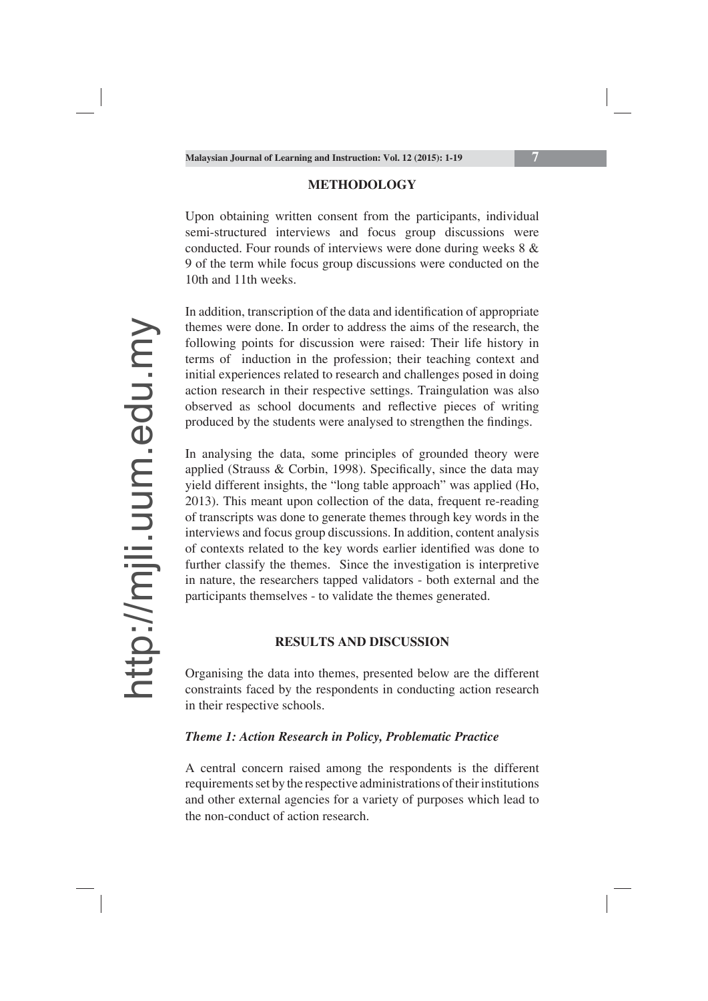#### **METHODOLOGY**

Upon obtaining written consent from the participants, individual semi-structured interviews and focus group discussions were conducted. Four rounds of interviews were done during weeks 8 & 9 of the term while focus group discussions were conducted on the 10th and 11th weeks.

In addition, transcription of the data and identification of appropriate themes were done. In order to address the aims of the research, the following points for discussion were raised: Their life history in terms of induction in the profession; their teaching context and initial experiences related to research and challenges posed in doing action research in their respective settings. Traingulation was also observed as school documents and reflective pieces of writing produced by the students were analysed to strengthen the findings.

In analysing the data, some principles of grounded theory were applied (Strauss & Corbin, 1998). Specifically, since the data may yield different insights, the "long table approach" was applied (Ho, 2013). This meant upon collection of the data, frequent re-reading of transcripts was done to generate themes through key words in the interviews and focus group discussions. In addition, content analysis of contexts related to the key words earlier identified was done to further classify the themes. Since the investigation is interpretive in nature, the researchers tapped validators - both external and the participants themselves - to validate the themes generated.

#### **RESULTS AND DISCUSSION**

Organising the data into themes, presented below are the different constraints faced by the respondents in conducting action research in their respective schools.

#### *Theme 1: Action Research in Policy, Problematic Practice*

A central concern raised among the respondents is the different requirements set by the respective administrations of their institutions and other external agencies for a variety of purposes which lead to the non-conduct of action research.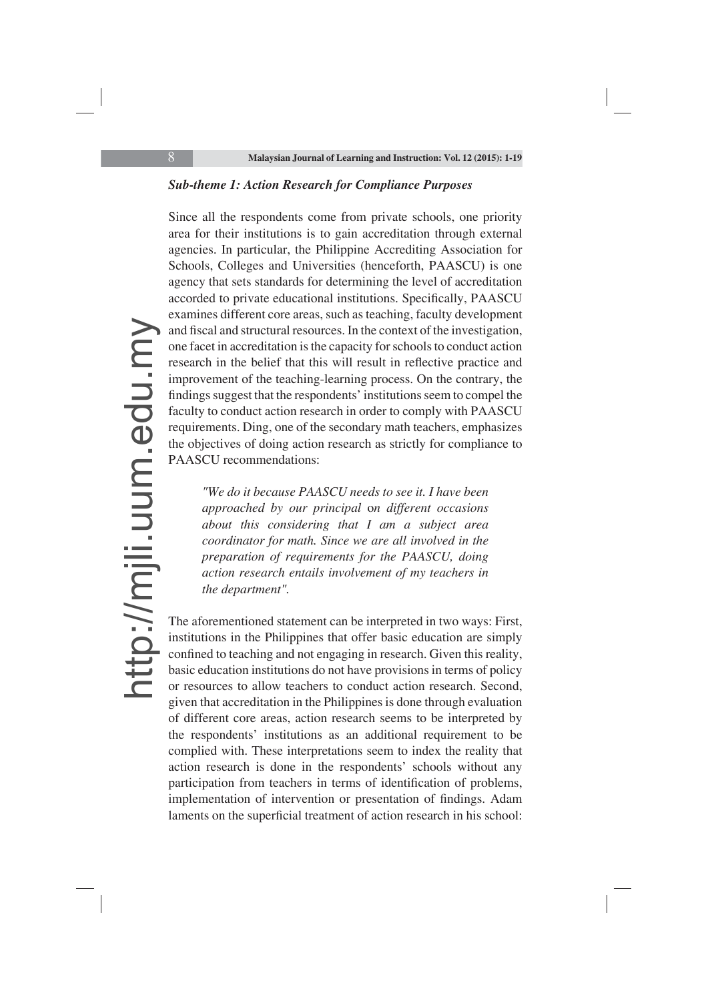#### *Sub-theme 1: Action Research for Compliance Purposes*

Since all the respondents come from private schools, one priority area for their institutions is to gain accreditation through external agencies. In particular, the Philippine Accrediting Association for Schools, Colleges and Universities (henceforth, PAASCU) is one agency that sets standards for determining the level of accreditation accorded to private educational institutions. Specifically, PAASCU examines different core areas, such as teaching, faculty development and fiscal and structural resources. In the context of the investigation, one facet in accreditation is the capacity for schools to conduct action research in the belief that this will result in reflective practice and improvement of the teaching-learning process. On the contrary, the findings suggest that the respondents' institutions seem to compel the faculty to conduct action research in order to comply with PAASCU requirements. Ding, one of the secondary math teachers, emphasizes the objectives of doing action research as strictly for compliance to PAASCU recommendations:

*"We do it because PAASCU needs to see it. I have been approached by our principal* o*n different occasions about this considering that I am a subject area coordinator for math. Since we are all involved in the preparation of requirements for the PAASCU, doing action research entails involvement of my teachers in the department".* 

The aforementioned statement can be interpreted in two ways: First, institutions in the Philippines that offer basic education are simply confined to teaching and not engaging in research. Given this reality, basic education institutions do not have provisions in terms of policy or resources to allow teachers to conduct action research. Second, given that accreditation in the Philippines is done through evaluation of different core areas, action research seems to be interpreted by the respondents' institutions as an additional requirement to be complied with. These interpretations seem to index the reality that action research is done in the respondents' schools without any participation from teachers in terms of identification of problems, implementation of intervention or presentation of findings. Adam laments on the superficial treatment of action research in his school: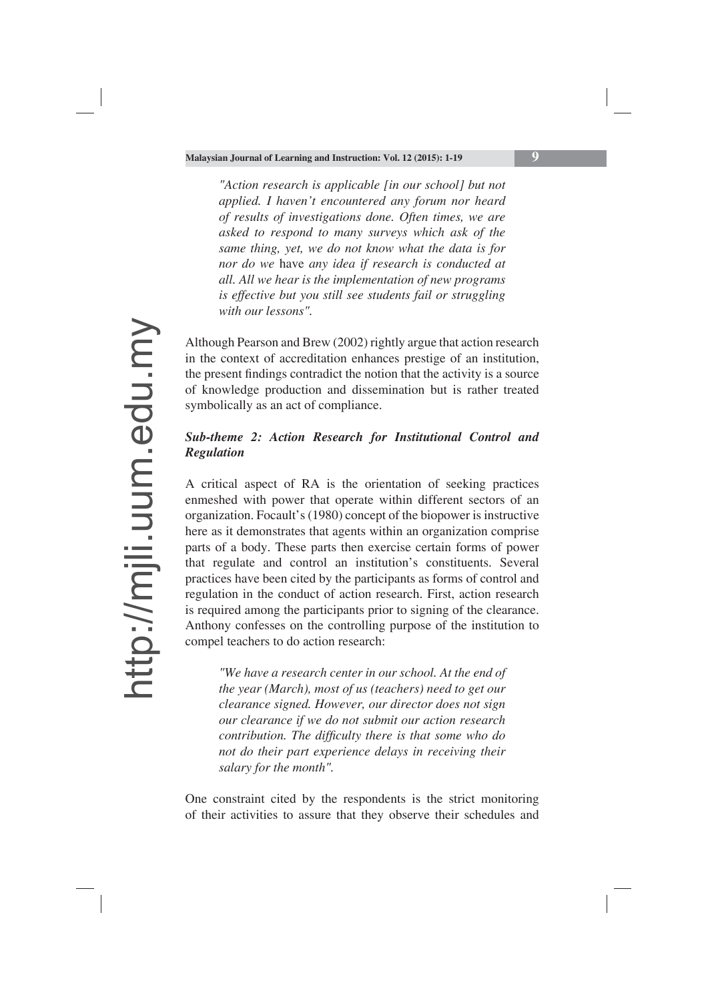*"Action research is applicable [in our school] but not applied. I haven't encountered any forum nor heard of results of investigations done. Often times, we are asked to respond to many surveys which ask of the same thing, yet, we do not know what the data is for nor do we* have *any idea if research is conducted at all. All we hear is the implementation of new programs is effective but you still see students fail or struggling with our lessons".*

Although Pearson and Brew (2002) rightly argue that action research in the context of accreditation enhances prestige of an institution, the present findings contradict the notion that the activity is a source of knowledge production and dissemination but is rather treated symbolically as an act of compliance.

## *Sub-theme 2: Action Research for Institutional Control and Regulation*

A critical aspect of RA is the orientation of seeking practices enmeshed with power that operate within different sectors of an organization. Focault's (1980) concept of the biopower is instructive here as it demonstrates that agents within an organization comprise parts of a body. These parts then exercise certain forms of power that regulate and control an institution's constituents. Several practices have been cited by the participants as forms of control and regulation in the conduct of action research. First, action research is required among the participants prior to signing of the clearance. Anthony confesses on the controlling purpose of the institution to compel teachers to do action research:

*"We have a research center in our school. At the end of the year (March), most of us (teachers) need to get our clearance signed. However, our director does not sign our clearance if we do not submit our action research contribution. The difficulty there is that some who do not do their part experience delays in receiving their salary for the month".* 

One constraint cited by the respondents is the strict monitoring of their activities to assure that they observe their schedules and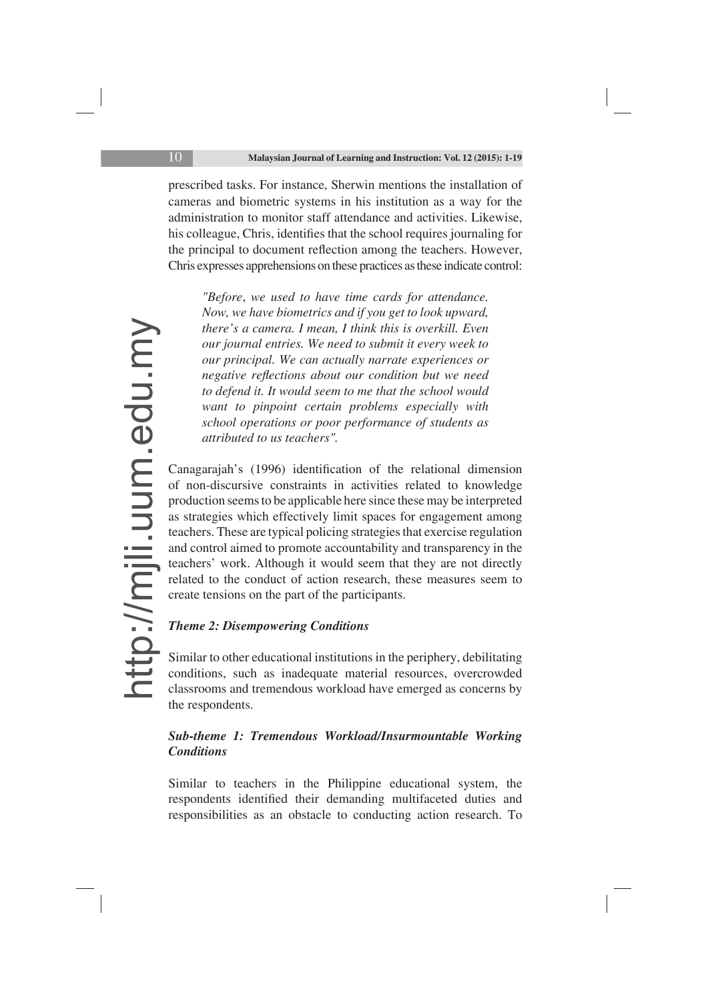prescribed tasks. For instance, Sherwin mentions the installation of cameras and biometric systems in his institution as a way for the administration to monitor staff attendance and activities. Likewise, his colleague, Chris, identifies that the school requires journaling for the principal to document reflection among the teachers. However, Chris expresses apprehensions on these practices as these indicate control:

*"Before*, *we used to have time cards for attendance. Now, we have biometrics and if you get to look upward, there's a camera. I mean, I think this is overkill. Even our journal entries. We need to submit it every week to our principal. We can actually narrate experiences or negative reflections about our condition but we need to defend it. It would seem to me that the school would want to pinpoint certain problems especially with school operations or poor performance of students as attributed to us teachers".*

Canagarajah's (1996) identification of the relational dimension of non-discursive constraints in activities related to knowledge production seems to be applicable here since these may be interpreted as strategies which effectively limit spaces for engagement among teachers. These are typical policing strategies that exercise regulation and control aimed to promote accountability and transparency in the teachers' work. Although it would seem that they are not directly related to the conduct of action research, these measures seem to create tensions on the part of the participants.

## *Theme 2: Disempowering Conditions*

Similar to other educational institutions in the periphery, debilitating conditions, such as inadequate material resources, overcrowded classrooms and tremendous workload have emerged as concerns by the respondents.

## *Sub-theme 1: Tremendous Workload/Insurmountable Working Conditions*

Similar to teachers in the Philippine educational system, the respondents identified their demanding multifaceted duties and responsibilities as an obstacle to conducting action research. To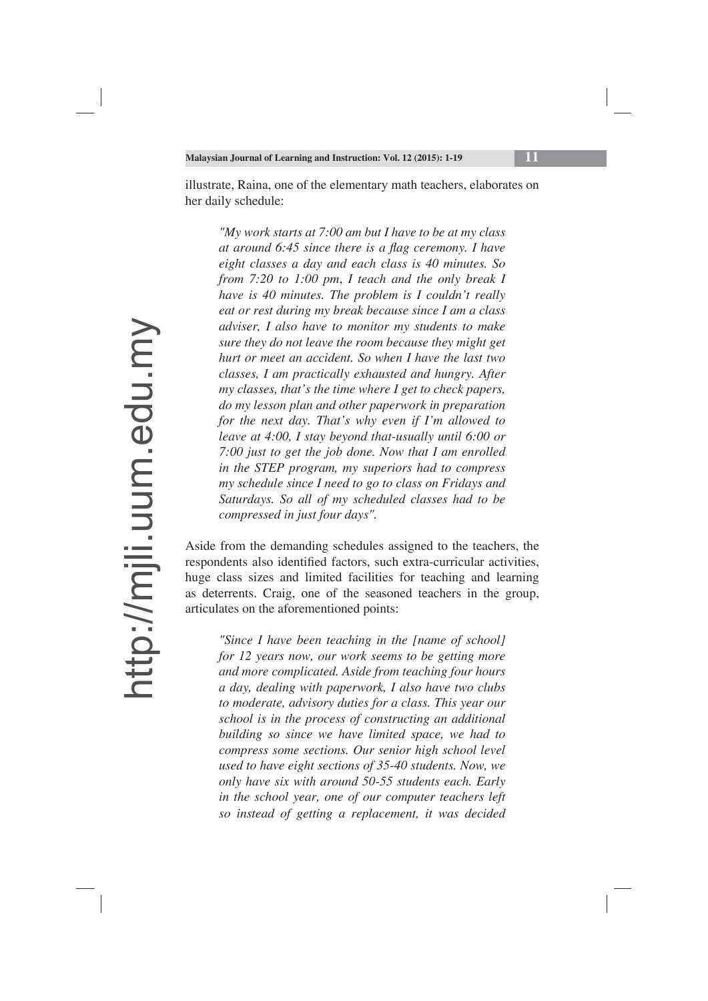illustrate, Raina, one of the elementary math teachers, elaborates on her daily schedule:

*"My work starts at 7:00 am but I have to be at my class at around 6:45 since there is a flag ceremony. I have eight classes a day and each class is 40 minutes. So from 7:20 to 1:00 pm*, *I teach and the only break I have is 40 minutes. The problem is I couldn't really eat or rest during my break because since I am a class adviser, I also have to monitor my students to make sure they do not leave the room because they might get hurt or meet an accident. So when I have the last two classes, I am practically exhausted and hungry. After my classes, that's the time where I get to check papers, do my lesson plan and other paperwork in preparation for the next day. That's why even if I'm allowed to leave at 4:00, I stay beyond that-usually until 6:00 or 7:00 just to get the job done. Now that I am enrolled in the STEP program, my superiors had to compress my schedule since I need to go to class on Fridays and Saturdays. So all of my scheduled classes had to be compressed in just four days".*

Aside from the demanding schedules assigned to the teachers, the respondents also identified factors, such extra-curricular activities, huge class sizes and limited facilities for teaching and learning as deterrents. Craig, one of the seasoned teachers in the group, articulates on the aforementioned points:

*"Since I have been teaching in the [name of school] for 12 years now, our work seems to be getting more and more complicated. Aside from teaching four hours a day, dealing with paperwork, I also have two clubs to moderate, advisory duties for a class. This year our school is in the process of constructing an additional building so since we have limited space, we had to compress some sections. Our senior high school level used to have eight sections of 35-40 students. Now, we only have six with around 50-55 students each. Early in the school year, one of our computer teachers left so instead of getting a replacement, it was decided*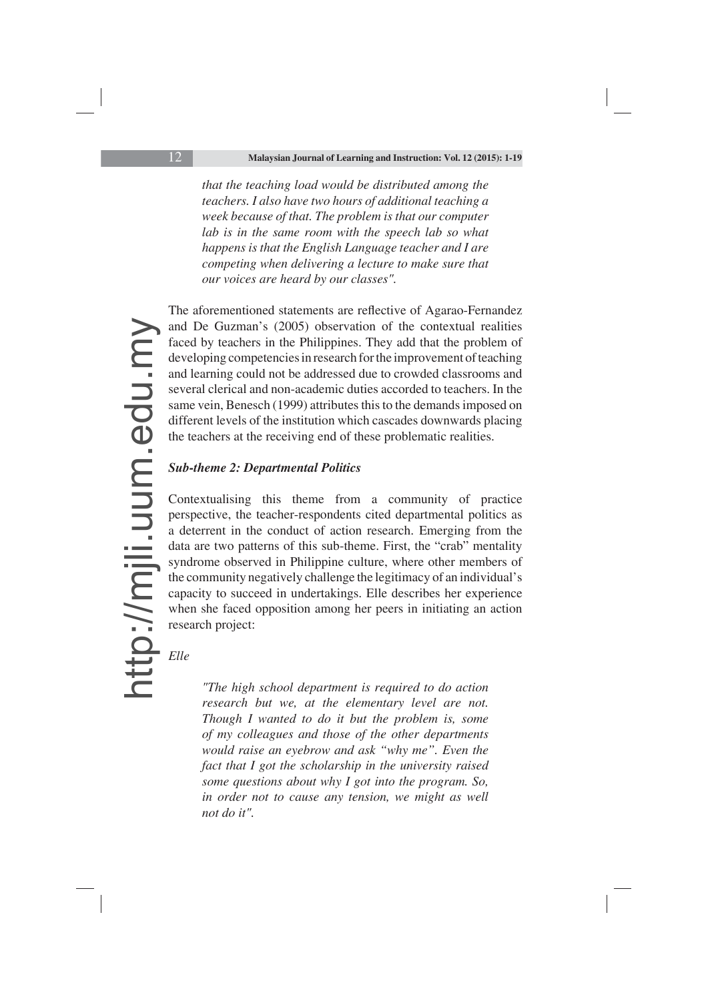*that the teaching load would be distributed among the teachers. I also have two hours of additional teaching a week because of that. The problem is that our computer lab is in the same room with the speech lab so what happens is that the English Language teacher and I are competing when delivering a lecture to make sure that our voices are heard by our classes".*

The aforementioned statements are reflective of Agarao-Fernandez and De Guzman's (2005) observation of the contextual realities faced by teachers in the Philippines. They add that the problem of developing competencies in research for the improvement of teaching and learning could not be addressed due to crowded classrooms and several clerical and non-academic duties accorded to teachers. In the same vein, Benesch (1999) attributes this to the demands imposed on different levels of the institution which cascades downwards placing the teachers at the receiving end of these problematic realities.

## *Sub-theme 2: Departmental Politics*

Contextualising this theme from a community of practice perspective, the teacher-respondents cited departmental politics as a deterrent in the conduct of action research. Emerging from the data are two patterns of this sub-theme. First, the "crab" mentality syndrome observed in Philippine culture, where other members of the community negatively challenge the legitimacy of an individual's capacity to succeed in undertakings. Elle describes her experience when she faced opposition among her peers in initiating an action research project:

## *Elle*

*"The high school department is required to do action research but we, at the elementary level are not. Though I wanted to do it but the problem is, some of my colleagues and those of the other departments would raise an eyebrow and ask "why me". Even the fact that I got the scholarship in the university raised some questions about why I got into the program. So, in order not to cause any tension, we might as well not do it".*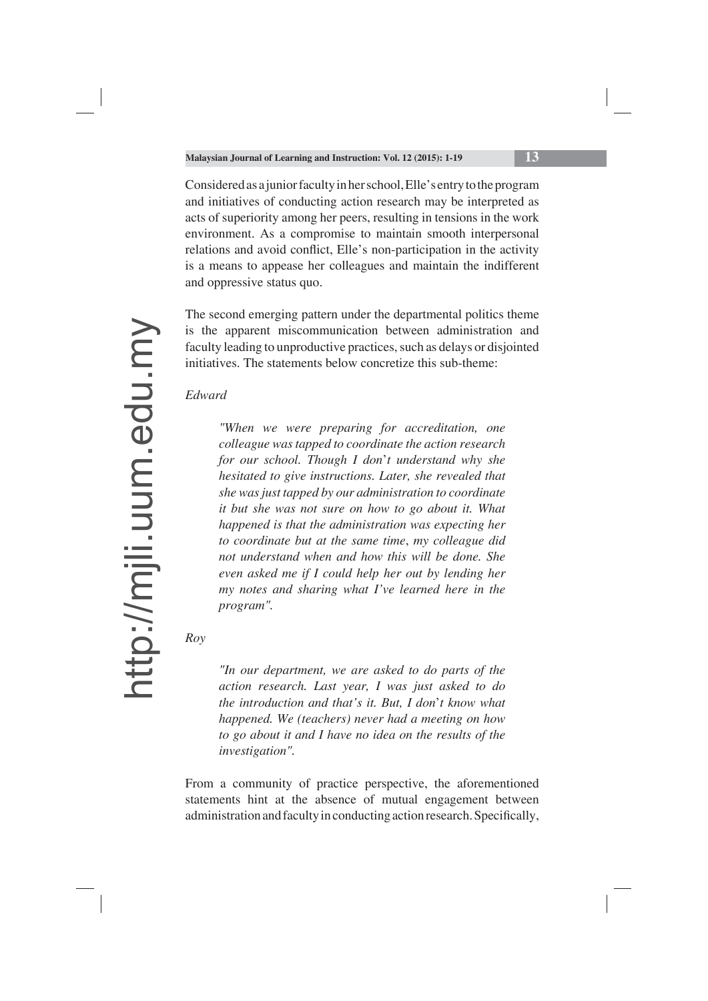Considered as a junior faculty in her school, Elle's entry to the program and initiatives of conducting action research may be interpreted as acts of superiority among her peers, resulting in tensions in the work environment. As a compromise to maintain smooth interpersonal relations and avoid conflict, Elle's non-participation in the activity is a means to appease her colleagues and maintain the indifferent and oppressive status quo.

The second emerging pattern under the departmental politics theme is the apparent miscommunication between administration and faculty leading to unproductive practices, such as delays or disjointed initiatives. The statements below concretize this sub-theme:

*Edward*

*"When we were preparing for accreditation, one colleague was tapped to coordinate the action research for our school. Though I don*'*t understand why she hesitated to give instructions. Later, she revealed that she was just tapped by our administration to coordinate it but she was not sure on how to go about it. What happened is that the administration was expecting her to coordinate but at the same time*, *my colleague did not understand when and how this will be done. She even asked me if I could help her out by lending her my notes and sharing what I've learned here in the program".*

*Roy*

*"In our department, we are asked to do parts of the action research. Last year, I was just asked to do the introduction and that's it. But, I don*'*t know what happened. We (teachers) never had a meeting on how to go about it and I have no idea on the results of the investigation".*

From a community of practice perspective, the aforementioned statements hint at the absence of mutual engagement between administration and faculty in conducting action research. Specifically,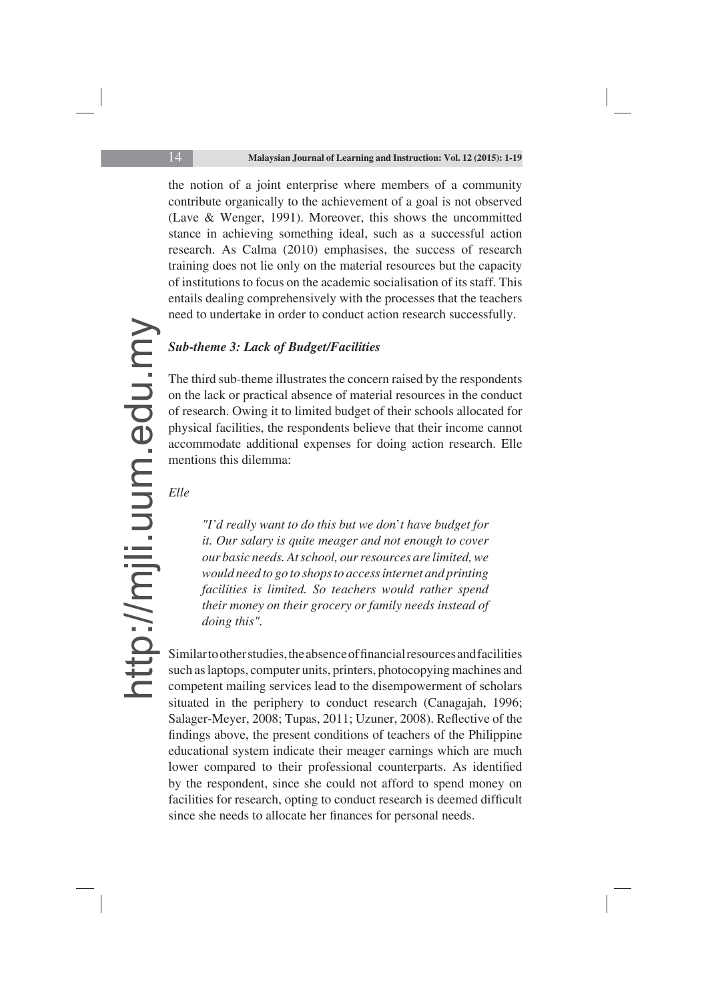the notion of a joint enterprise where members of a community contribute organically to the achievement of a goal is not observed (Lave & Wenger, 1991). Moreover, this shows the uncommitted stance in achieving something ideal, such as a successful action research. As Calma (2010) emphasises, the success of research training does not lie only on the material resources but the capacity of institutions to focus on the academic socialisation of its staff. This entails dealing comprehensively with the processes that the teachers need to undertake in order to conduct action research successfully.

### *Sub-theme 3: Lack of Budget/Facilities*

The third sub-theme illustrates the concern raised by the respondents on the lack or practical absence of material resources in the conduct of research. Owing it to limited budget of their schools allocated for physical facilities, the respondents believe that their income cannot accommodate additional expenses for doing action research. Elle mentions this dilemma:

### *Elle*

*"I'd really want to do this but we don*'*t have budget for it. Our salary is quite meager and not enough to cover our basic needs. At school, our resources are limited, we would need to go to shops to access internet and printing facilities is limited. So teachers would rather spend their money on their grocery or family needs instead of doing this".*

Similar to other studies, the absence of financial resources and facilities such as laptops, computer units, printers, photocopying machines and competent mailing services lead to the disempowerment of scholars situated in the periphery to conduct research (Canagajah, 1996; Salager-Meyer, 2008; Tupas, 2011; Uzuner, 2008). Reflective of the findings above, the present conditions of teachers of the Philippine educational system indicate their meager earnings which are much lower compared to their professional counterparts. As identified by the respondent, since she could not afford to spend money on facilities for research, opting to conduct research is deemed difficult since she needs to allocate her finances for personal needs.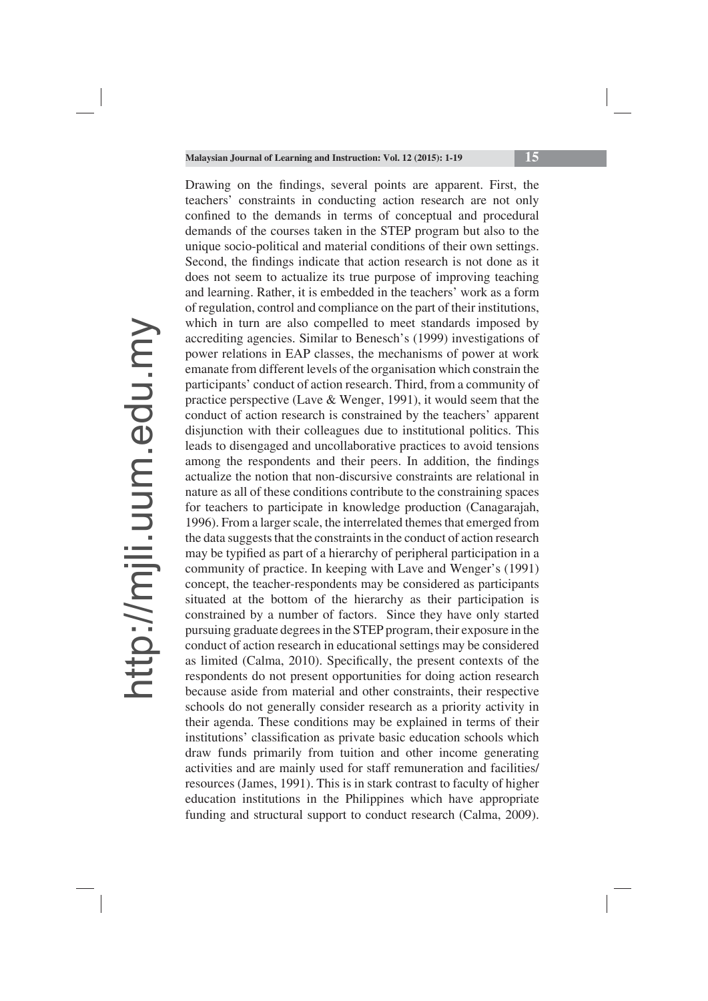Drawing on the findings, several points are apparent. First, the teachers' constraints in conducting action research are not only confined to the demands in terms of conceptual and procedural demands of the courses taken in the STEP program but also to the unique socio-political and material conditions of their own settings. Second, the findings indicate that action research is not done as it does not seem to actualize its true purpose of improving teaching and learning. Rather, it is embedded in the teachers' work as a form of regulation, control and compliance on the part of their institutions, which in turn are also compelled to meet standards imposed by accrediting agencies. Similar to Benesch's (1999) investigations of power relations in EAP classes, the mechanisms of power at work emanate from different levels of the organisation which constrain the participants' conduct of action research. Third, from a community of practice perspective (Lave & Wenger, 1991), it would seem that the conduct of action research is constrained by the teachers' apparent disjunction with their colleagues due to institutional politics. This leads to disengaged and uncollaborative practices to avoid tensions among the respondents and their peers. In addition, the findings actualize the notion that non-discursive constraints are relational in nature as all of these conditions contribute to the constraining spaces for teachers to participate in knowledge production (Canagarajah, 1996). From a larger scale, the interrelated themes that emerged from the data suggests that the constraints in the conduct of action research may be typified as part of a hierarchy of peripheral participation in a community of practice. In keeping with Lave and Wenger's (1991) concept, the teacher-respondents may be considered as participants situated at the bottom of the hierarchy as their participation is constrained by a number of factors. Since they have only started pursuing graduate degrees in the STEP program, their exposure in the conduct of action research in educational settings may be considered as limited (Calma, 2010). Specifically, the present contexts of the respondents do not present opportunities for doing action research because aside from material and other constraints, their respective schools do not generally consider research as a priority activity in their agenda. These conditions may be explained in terms of their institutions' classification as private basic education schools which draw funds primarily from tuition and other income generating activities and are mainly used for staff remuneration and facilities/ resources (James, 1991). This is in stark contrast to faculty of higher education institutions in the Philippines which have appropriate funding and structural support to conduct research (Calma, 2009).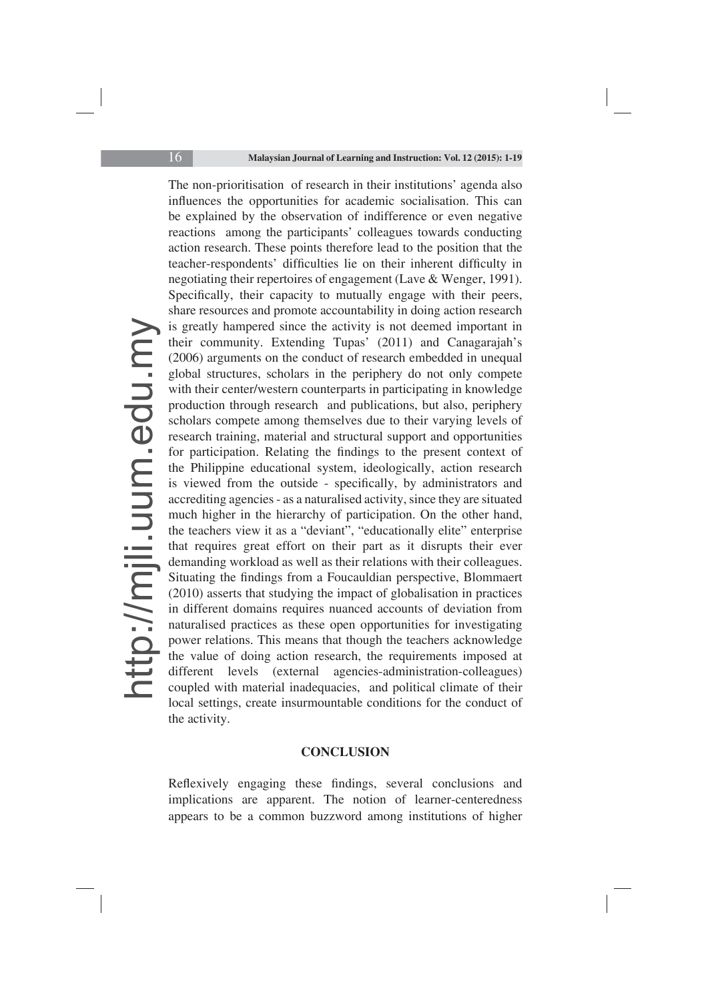The non-prioritisation of research in their institutions' agenda also influences the opportunities for academic socialisation. This can be explained by the observation of indifference or even negative reactions among the participants' colleagues towards conducting action research. These points therefore lead to the position that the teacher-respondents' difficulties lie on their inherent difficulty in negotiating their repertoires of engagement (Lave & Wenger, 1991). Specifically, their capacity to mutually engage with their peers, share resources and promote accountability in doing action research is greatly hampered since the activity is not deemed important in their community. Extending Tupas' (2011) and Canagarajah's (2006) arguments on the conduct of research embedded in unequal global structures, scholars in the periphery do not only compete with their center/western counterparts in participating in knowledge production through research and publications, but also, periphery scholars compete among themselves due to their varying levels of research training, material and structural support and opportunities for participation. Relating the findings to the present context of the Philippine educational system, ideologically, action research is viewed from the outside - specifically, by administrators and accrediting agencies - as a naturalised activity, since they are situated much higher in the hierarchy of participation. On the other hand, the teachers view it as a "deviant", "educationally elite" enterprise that requires great effort on their part as it disrupts their ever demanding workload as well as their relations with their colleagues. Situating the findings from a Foucauldian perspective, Blommaert (2010) asserts that studying the impact of globalisation in practices in different domains requires nuanced accounts of deviation from naturalised practices as these open opportunities for investigating power relations. This means that though the teachers acknowledge the value of doing action research, the requirements imposed at different levels (external agencies-administration-colleagues) coupled with material inadequacies, and political climate of their local settings, create insurmountable conditions for the conduct of the activity.

#### **CONCLUSION**

Reflexively engaging these findings, several conclusions and implications are apparent. The notion of learner-centeredness appears to be a common buzzword among institutions of higher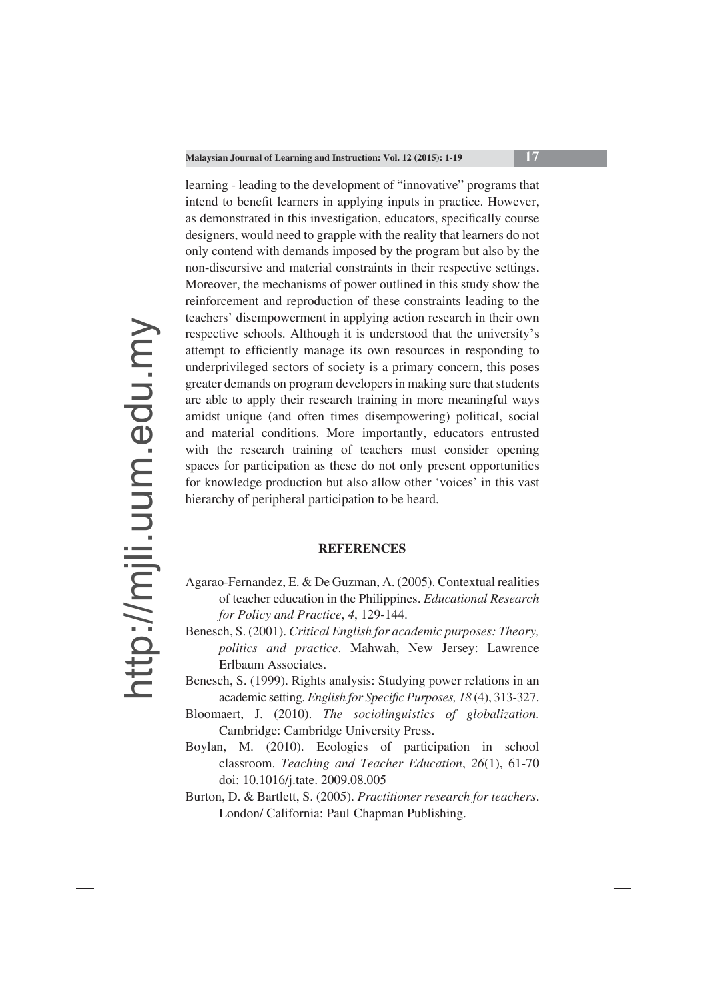learning - leading to the development of "innovative" programs that intend to benefit learners in applying inputs in practice. However, as demonstrated in this investigation, educators, specifically course designers, would need to grapple with the reality that learners do not only contend with demands imposed by the program but also by the non-discursive and material constraints in their respective settings. Moreover, the mechanisms of power outlined in this study show the reinforcement and reproduction of these constraints leading to the teachers' disempowerment in applying action research in their own respective schools. Although it is understood that the university's attempt to efficiently manage its own resources in responding to underprivileged sectors of society is a primary concern, this poses greater demands on program developers in making sure that students are able to apply their research training in more meaningful ways amidst unique (and often times disempowering) political, social and material conditions. More importantly, educators entrusted with the research training of teachers must consider opening spaces for participation as these do not only present opportunities for knowledge production but also allow other 'voices' in this vast hierarchy of peripheral participation to be heard.

#### **REFERENCES**

- Agarao-Fernandez, E. & De Guzman, A. (2005). Contextual realities of teacher education in the Philippines. *Educational Research for Policy and Practice*, *4*, 129-144.
- Benesch, S. (2001). *Critical English for academic purposes: Theory, politics and practice*. Mahwah, New Jersey: Lawrence Erlbaum Associates.
- Benesch, S. (1999). Rights analysis: Studying power relations in an academic setting. *English for Specific Purposes, 18* (4), 313-327.
- Bloomaert, J. (2010). *The sociolinguistics of globalization.*  Cambridge: Cambridge University Press.
- Boylan, M. (2010). Ecologies of participation in school classroom. *Teaching and Teacher Education*, *26*(1), 61-70 doi: 10.1016/j.tate. 2009.08.005
- Burton, D. & Bartlett, S. (2005). *Practitioner research for teachers*. London/ California: Paul Chapman Publishing.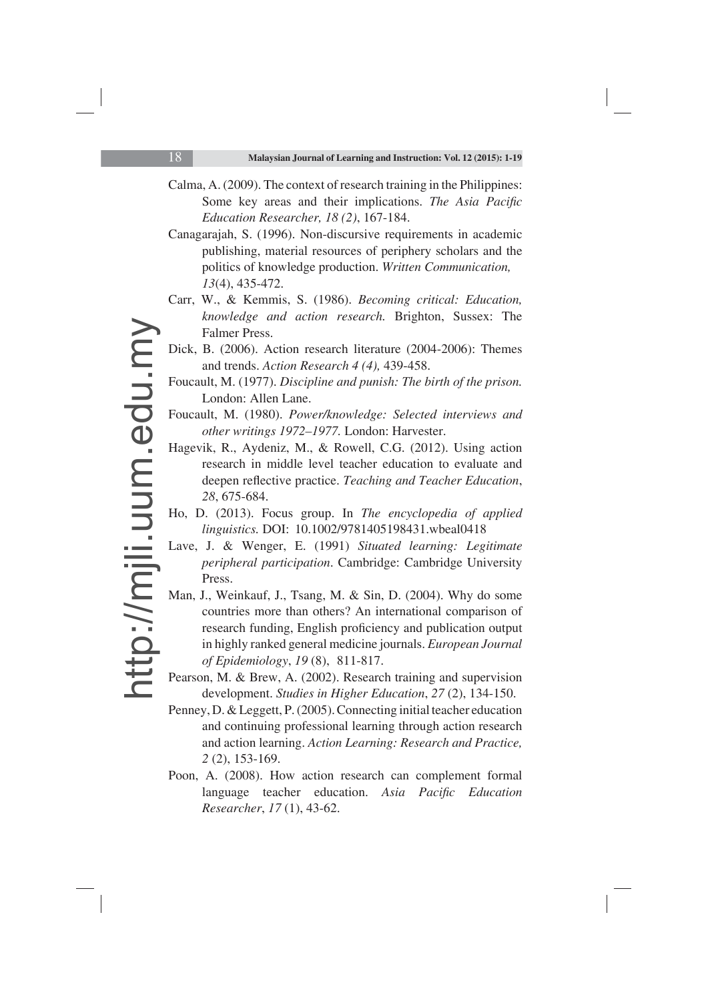- Calma, A. (2009). The context of research training in the Philippines: Some key areas and their implications. *The Asia Pacific Education Researcher, 18 (2)*, 167-184.
- Canagarajah, S. (1996). Non-discursive requirements in academic publishing, material resources of periphery scholars and the politics of knowledge production. *Written Communication, 13*(4), 435-472.
- Carr, W., & Kemmis, S. (1986). *Becoming critical: Education, knowledge and action research.* Brighton, Sussex: The Falmer Press.
- Dick, B. (2006). Action research literature (2004-2006): Themes and trends. *Action Research 4 (4),* 439-458.
- Foucault, M. (1977). *Discipline and punish: The birth of the prison.*  London: Allen Lane.
- Foucault, M. (1980). *Power/knowledge: Selected interviews and other writings 1972–1977.* London: Harvester.
- Hagevik, R., Aydeniz, M., & Rowell, C.G. (2012). Using action research in middle level teacher education to evaluate and deepen reflective practice. *Teaching and Teacher Education*, *28*, 675-684.
- Ho, D. (2013). Focus group. In *The encyclopedia of applied linguistics.* DOI: 10.1002/9781405198431.wbeal0418
- Lave, J. & Wenger, E. (1991) *Situated learning: Legitimate peripheral participation*. Cambridge: Cambridge University Press.
- Man, J., Weinkauf, J., Tsang, M. & Sin, D. (2004). Why do some countries more than others? An international comparison of research funding, English proficiency and publication output in highly ranked general medicine journals. *European Journal of Epidemiology*, *19* (8), 811-817.
- Pearson, M. & Brew, A. (2002). Research training and supervision development. *Studies in Higher Education*, *27* (2), 134-150.
- Penney, D. & Leggett, P. (2005). Connecting initial teacher education and continuing professional learning through action research and action learning. *Action Learning: Research and Practice, 2* (2), 153-169.
- Poon, A. (2008). How action research can complement formal language teacher education. Asia Pacific Education *Researcher*, *17* (1), 43-62.